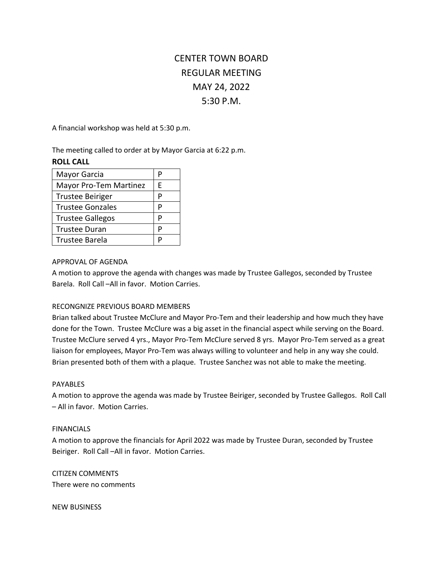# CENTER TOWN BOARD REGULAR MEETING MAY 24, 2022 5:30 P.M.

A financial workshop was held at 5:30 p.m.

The meeting called to order at by Mayor Garcia at 6:22 p.m.

### **ROLL CALL**

| Mayor Garcia                  |   |
|-------------------------------|---|
| <b>Mayor Pro-Tem Martinez</b> | F |
| <b>Trustee Beiriger</b>       |   |
| <b>Trustee Gonzales</b>       |   |
| <b>Trustee Gallegos</b>       | P |
| <b>Trustee Duran</b>          |   |
| <b>Trustee Barela</b>         |   |

#### APPROVAL OF AGENDA

A motion to approve the agenda with changes was made by Trustee Gallegos, seconded by Trustee Barela. Roll Call –All in favor. Motion Carries.

## RECONGNIZE PREVIOUS BOARD MEMBERS

Brian talked about Trustee McClure and Mayor Pro-Tem and their leadership and how much they have done for the Town. Trustee McClure was a big asset in the financial aspect while serving on the Board. Trustee McClure served 4 yrs., Mayor Pro-Tem McClure served 8 yrs. Mayor Pro-Tem served as a great liaison for employees, Mayor Pro-Tem was always willing to volunteer and help in any way she could. Brian presented both of them with a plaque. Trustee Sanchez was not able to make the meeting.

#### PAYABLES

A motion to approve the agenda was made by Trustee Beiriger, seconded by Trustee Gallegos. Roll Call – All in favor. Motion Carries.

#### FINANCIALS

A motion to approve the financials for April 2022 was made by Trustee Duran, seconded by Trustee Beiriger. Roll Call –All in favor. Motion Carries.

CITIZEN COMMENTS There were no comments

NEW BUSINESS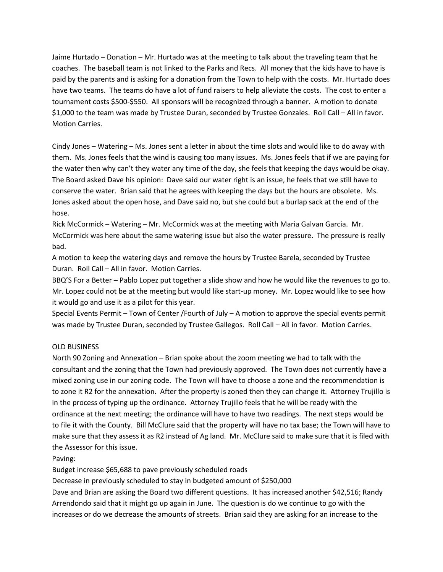Jaime Hurtado – Donation – Mr. Hurtado was at the meeting to talk about the traveling team that he coaches. The baseball team is not linked to the Parks and Recs. All money that the kids have to have is paid by the parents and is asking for a donation from the Town to help with the costs. Mr. Hurtado does have two teams. The teams do have a lot of fund raisers to help alleviate the costs. The cost to enter a tournament costs \$500-\$550. All sponsors will be recognized through a banner. A motion to donate \$1,000 to the team was made by Trustee Duran, seconded by Trustee Gonzales. Roll Call – All in favor. Motion Carries.

Cindy Jones – Watering – Ms. Jones sent a letter in about the time slots and would like to do away with them. Ms. Jones feels that the wind is causing too many issues. Ms. Jones feels that if we are paying for the water then why can't they water any time of the day, she feels that keeping the days would be okay. The Board asked Dave his opinion: Dave said our water right is an issue, he feels that we still have to conserve the water. Brian said that he agrees with keeping the days but the hours are obsolete. Ms. Jones asked about the open hose, and Dave said no, but she could but a burlap sack at the end of the hose.

Rick McCormick – Watering – Mr. McCormick was at the meeting with Maria Galvan Garcia. Mr. McCormick was here about the same watering issue but also the water pressure. The pressure is really bad.

A motion to keep the watering days and remove the hours by Trustee Barela, seconded by Trustee Duran. Roll Call – All in favor. Motion Carries.

BBQ'S For a Better – Pablo Lopez put together a slide show and how he would like the revenues to go to. Mr. Lopez could not be at the meeting but would like start-up money. Mr. Lopez would like to see how it would go and use it as a pilot for this year.

Special Events Permit – Town of Center /Fourth of July – A motion to approve the special events permit was made by Trustee Duran, seconded by Trustee Gallegos. Roll Call – All in favor. Motion Carries.

#### OLD BUSINESS

North 90 Zoning and Annexation – Brian spoke about the zoom meeting we had to talk with the consultant and the zoning that the Town had previously approved. The Town does not currently have a mixed zoning use in our zoning code. The Town will have to choose a zone and the recommendation is to zone it R2 for the annexation. After the property is zoned then they can change it. Attorney Trujillo is in the process of typing up the ordinance. Attorney Trujillo feels that he will be ready with the ordinance at the next meeting; the ordinance will have to have two readings. The next steps would be to file it with the County. Bill McClure said that the property will have no tax base; the Town will have to make sure that they assess it as R2 instead of Ag land. Mr. McClure said to make sure that it is filed with the Assessor for this issue.

Paving:

Budget increase \$65,688 to pave previously scheduled roads

Decrease in previously scheduled to stay in budgeted amount of \$250,000

Dave and Brian are asking the Board two different questions. It has increased another \$42,516; Randy Arrendondo said that it might go up again in June. The question is do we continue to go with the increases or do we decrease the amounts of streets. Brian said they are asking for an increase to the